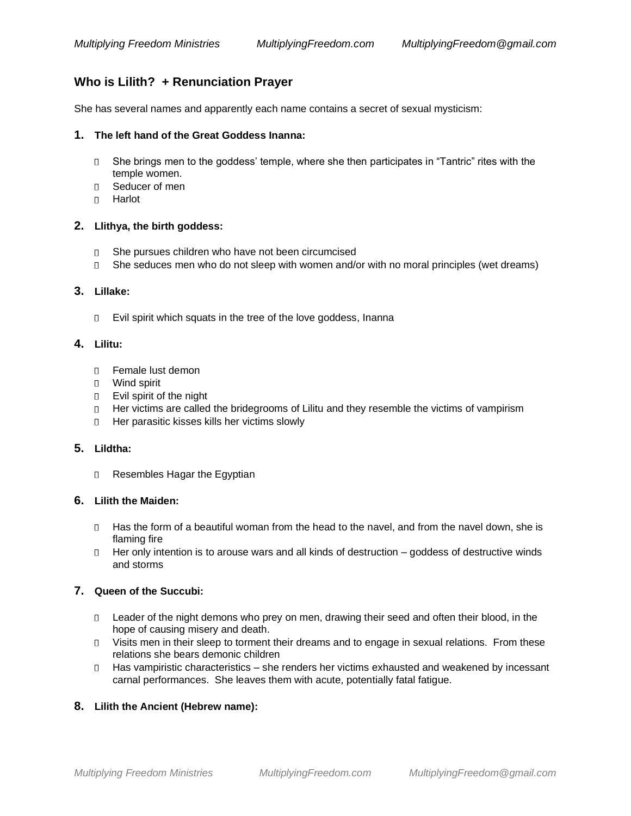# **Who is Lilith? + Renunciation Prayer**

She has several names and apparently each name contains a secret of sexual mysticism:

### **1. The left hand of the Great Goddess Inanna:**

- She brings men to the goddess' temple, where she then participates in "Tantric" rites with the  $\Box$ temple women.
- Seducer of men
- Harlot

### **2. Llithya, the birth goddess:**

- She pursues children who have not been circumcised
- She seduces men who do not sleep with women and/or with no moral principles (wet dreams)

### **3. Lillake:**

D Evil spirit which squats in the tree of the love goddess, Inanna

# **4. Lilitu:**

- Female lust demon
- Wind spirit
- D Evil spirit of the night
- Her victims are called the bridegrooms of Lilitu and they resemble the victims of vampirism
- D Her parasitic kisses kills her victims slowly

# **5. Lildtha:**

Resembles Hagar the Egyptian

### **6. Lilith the Maiden:**

- □ Has the form of a beautiful woman from the head to the navel, and from the navel down, she is flaming fire
- $\Box$  Her only intention is to arouse wars and all kinds of destruction goddess of destructive winds and storms

# **7. Queen of the Succubi:**

- D Leader of the night demons who prey on men, drawing their seed and often their blood, in the hope of causing misery and death.
- Visits men in their sleep to torment their dreams and to engage in sexual relations. From these relations she bears demonic children
- □ Has vampiristic characteristics she renders her victims exhausted and weakened by incessant carnal performances. She leaves them with acute, potentially fatal fatigue.

# **8. Lilith the Ancient (Hebrew name):**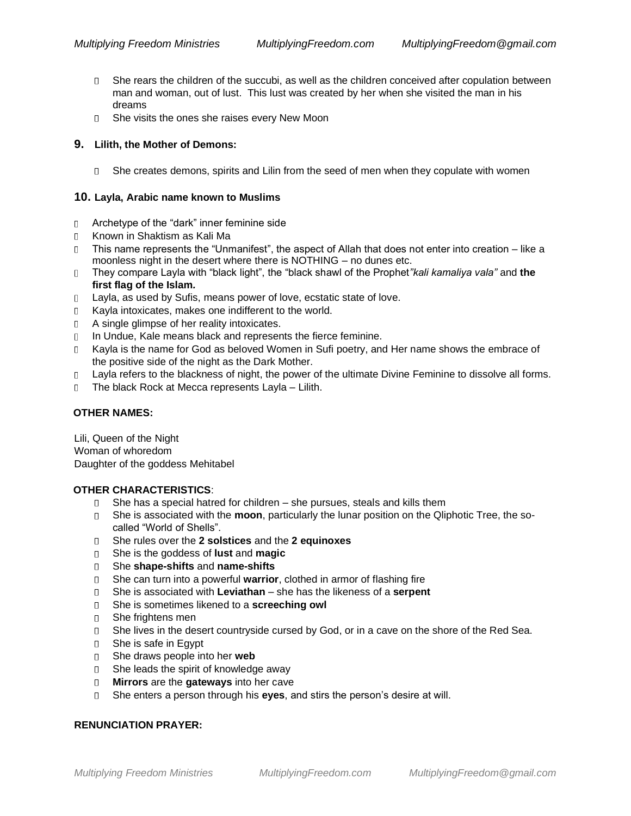- $\Box$  She rears the children of the succubi, as well as the children conceived after copulation between man and woman, out of lust. This lust was created by her when she visited the man in his dreams
- D She visits the ones she raises every New Moon

#### **9. Lilith, the Mother of Demons:**

 $\square$  She creates demons, spirits and Lilin from the seed of men when they copulate with women

#### **10. Layla, Arabic name known to Muslims**

- Archetype of the "dark" inner feminine side  $\Box$
- Known in Shaktism as Kali Ma
- This name represents the "Unmanifest", the aspect of Allah that does not enter into creation like a moonless night in the desert where there is NOTHING – no dunes etc.
- They compare Layla with "black light", the "black shawl of the Prophet*"kali kamaliya vala"* and **the first flag of the Islam***.*
- Layla, as used by Sufis, means power of love, ecstatic state of love.  $\Box$
- Kayla intoxicates, makes one indifferent to the world.  $\Box$
- D A single glimpse of her reality intoxicates.
- In Undue, Kale means black and represents the fierce feminine.
- Kayla is the name for God as beloved Women in Sufi poetry, and Her name shows the embrace of the positive side of the night as the Dark Mother.
- D Layla refers to the blackness of night, the power of the ultimate Divine Feminine to dissolve all forms.
- The black Rock at Mecca represents Layla Lilith.  $\Box$

#### **OTHER NAMES:**

Lili, Queen of the Night Woman of whoredom Daughter of the goddess Mehitabel

### **OTHER CHARACTERISTICS**:

- $\Box$  She has a special hatred for children she pursues, steals and kills them
- She is associated with the **moon**, particularly the lunar position on the Qliphotic Tree, the socalled "World of Shells".
- She rules over the **2 solstices** and the **2 equinoxes**
- She is the goddess of **lust** and **magic**
- She **shape-shifts** and **name-shifts**
- She can turn into a powerful **warrior**, clothed in armor of flashing fire
- She is associated with **Leviathan** she has the likeness of a **serpent**
- She is sometimes likened to a **screeching owl**
- She frightens men
- D She lives in the desert countryside cursed by God, or in a cave on the shore of the Red Sea.
- She is safe in Egypt
- She draws people into her **web**
- □ She leads the spirit of knowledge away
- **Mirrors** are the **gateways** into her cave
- She enters a person through his **eyes**, and stirs the person's desire at will.

### **RENUNCIATION PRAYER:**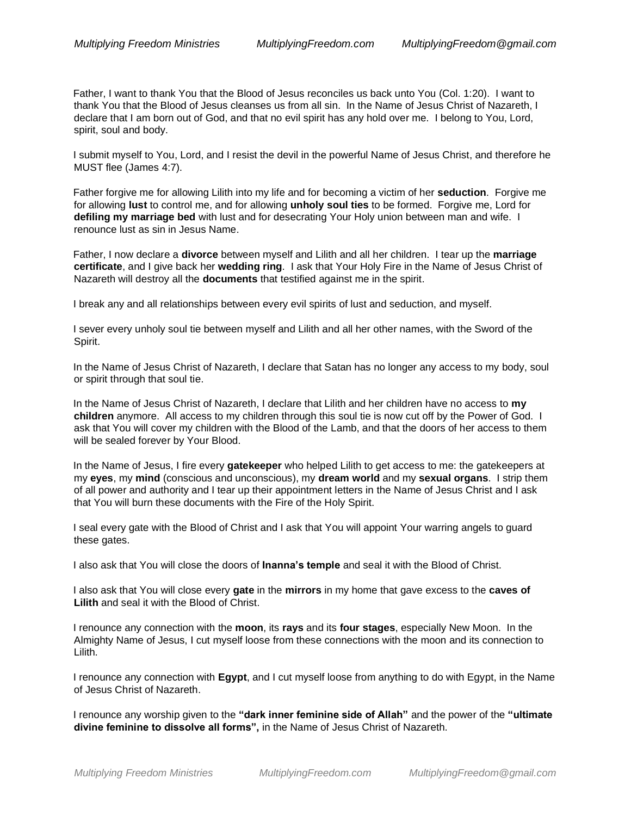Father, I want to thank You that the Blood of Jesus reconciles us back unto You (Col. 1:20). I want to thank You that the Blood of Jesus cleanses us from all sin. In the Name of Jesus Christ of Nazareth, I declare that I am born out of God, and that no evil spirit has any hold over me. I belong to You, Lord, spirit, soul and body.

I submit myself to You, Lord, and I resist the devil in the powerful Name of Jesus Christ, and therefore he MUST flee (James 4:7).

Father forgive me for allowing Lilith into my life and for becoming a victim of her **seduction**. Forgive me for allowing **lust** to control me, and for allowing **unholy soul ties** to be formed. Forgive me, Lord for **defiling my marriage bed** with lust and for desecrating Your Holy union between man and wife. I renounce lust as sin in Jesus Name.

Father, I now declare a **divorce** between myself and Lilith and all her children. I tear up the **marriage certificate**, and I give back her **wedding ring**. I ask that Your Holy Fire in the Name of Jesus Christ of Nazareth will destroy all the **documents** that testified against me in the spirit.

I break any and all relationships between every evil spirits of lust and seduction, and myself.

I sever every unholy soul tie between myself and Lilith and all her other names, with the Sword of the Spirit.

In the Name of Jesus Christ of Nazareth, I declare that Satan has no longer any access to my body, soul or spirit through that soul tie.

In the Name of Jesus Christ of Nazareth, I declare that Lilith and her children have no access to **my children** anymore. All access to my children through this soul tie is now cut off by the Power of God. I ask that You will cover my children with the Blood of the Lamb, and that the doors of her access to them will be sealed forever by Your Blood.

In the Name of Jesus, I fire every **gatekeeper** who helped Lilith to get access to me: the gatekeepers at my **eyes**, my **mind** (conscious and unconscious), my **dream world** and my **sexual organs**. I strip them of all power and authority and I tear up their appointment letters in the Name of Jesus Christ and I ask that You will burn these documents with the Fire of the Holy Spirit.

I seal every gate with the Blood of Christ and I ask that You will appoint Your warring angels to guard these gates.

I also ask that You will close the doors of **Inanna's temple** and seal it with the Blood of Christ.

I also ask that You will close every **gate** in the **mirrors** in my home that gave excess to the **caves of Lilith** and seal it with the Blood of Christ.

I renounce any connection with the **moon**, its **rays** and its **four stages**, especially New Moon. In the Almighty Name of Jesus, I cut myself loose from these connections with the moon and its connection to Lilith.

I renounce any connection with **Egypt**, and I cut myself loose from anything to do with Egypt, in the Name of Jesus Christ of Nazareth.

I renounce any worship given to the **"dark inner feminine side of Allah"** and the power of the **"ultimate divine feminine to dissolve all forms",** in the Name of Jesus Christ of Nazareth.